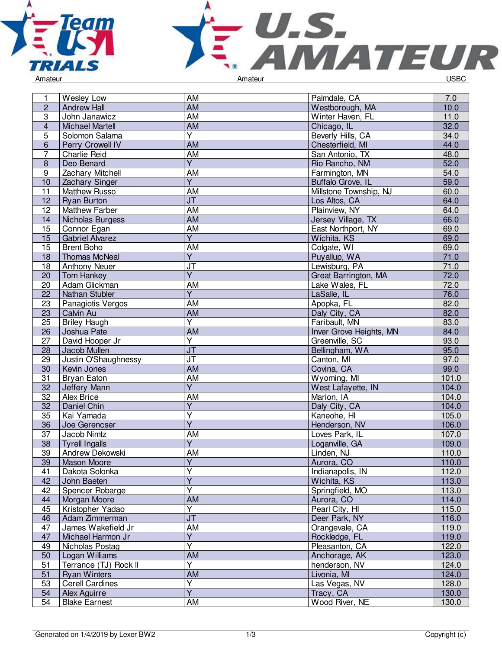



| 1                | Wesley Low             | AM                                | Palmdale, CA            | 7.0   |
|------------------|------------------------|-----------------------------------|-------------------------|-------|
| $\overline{c}$   | <b>Andrew Hall</b>     | $\overline{AM}$                   | Westborough, MA         | 10.0  |
| $\overline{3}$   | John Janawicz          | <b>AM</b>                         | Winter Haven, FL        | 11.0  |
| $\overline{4}$   | <b>Michael Martell</b> | <b>AM</b>                         | Chicago, IL             | 32.0  |
| 5                | Solomon Salama         | Y                                 | Beverly Hills, CA       | 34.0  |
| 6                | Perry Crowell IV       | AM                                | Chesterfield, MI        | 44.0  |
| 7                | <b>Charlie Reid</b>    | <b>AM</b>                         | San Antonio, TX         | 48.0  |
| $\boldsymbol{8}$ | Deo Benard             | Ÿ                                 | Rio Rancho, NM          | 52.0  |
| 9                | Zachary Mitchell       | AM                                | Farmington, MN          | 54.0  |
| 10               | Zachary Singer         | $\overline{\mathsf{Y}}$           | Buffalo Grove, IL       | 59.0  |
| 11               | <b>Matthew Russo</b>   | AM                                | Millstone Township, NJ  | 60.0  |
| 12               | <b>Ryan Burton</b>     | $\overline{\mathsf{J}\mathsf{T}}$ | Los Altos, CA           | 64.0  |
| 12               | Matthew Farber         | <b>AM</b>                         | Plainview, NY           | 64.0  |
| 14               | Nicholas Burgess       | <b>AM</b>                         | Jersey Village, TX      | 66.0  |
| 15               | Connor Egan            | <b>AM</b>                         | East Northport, NY      | 69.0  |
| 15               | <b>Gabriel Alvarez</b> | $\overline{Y}$                    | Wichita, KS             | 69.0  |
| 15               | <b>Brent Boho</b>      | AM                                | Colgate, WI             | 69.0  |
| 18               | <b>Thomas McNeal</b>   | Υ                                 | Puyallup, WA            | 71.0  |
| 18               | <b>Anthony Neuer</b>   | JT                                | Lewisburg, PA           | 71.0  |
| 20               | <b>Tom Hankey</b>      | $\overline{\mathsf{Y}}$           | Great Barrington, MA    | 72.0  |
| 20               | Adam Glickman          | AM                                | Lake Wales, FL          | 72.0  |
| 22               | Nathan Stubler         | $\overline{Y}$                    | LaSalle, IL             | 76.0  |
| 23               |                        | AM                                | Apopka, FL              | 82.0  |
|                  | Panagiotis Vergos      | <b>AM</b>                         |                         | 82.0  |
| 23               | Calvin Au              | $\overline{\mathsf{Y}}$           | Daly City, CA           |       |
| $\overline{25}$  | <b>Briley Haugh</b>    |                                   | Faribault, MN           | 83.0  |
| 26               | Joshua Pate            | <b>AM</b>                         | Inver Grove Heights, MN | 84.0  |
| 27               | David Hooper Jr        | $\overline{\mathsf{Y}}$           | Greenville, SC          | 93.0  |
| 28               | Jacob Mullen           | <b>JT</b>                         | Bellingham, WA          | 95.0  |
| 29               | Justin O'Shaughnessy   | JT                                | Canton, MI              | 97.0  |
| $\overline{30}$  | Kevin Jones            | <b>AM</b>                         | Covina, CA              | 99.0  |
| $\overline{31}$  | Bryan Eaton            | <b>AM</b>                         | Wyoming, MI             | 101.0 |
| 32               | Jeffery Mann           | $\overline{\mathsf{Y}}$           | West Lafayette, IN      | 104.0 |
| 32               | Alex Brice             | AM                                | Marion, IA              | 104.0 |
| 32               | Daniel Chin            | Y                                 | Daly City, CA           | 104.0 |
| 35               | Kai Yamada             | $\overline{\mathsf{Y}}$           | Kaneohe, HI             | 105.0 |
| 36               | Joe Gerencser          | $\overline{\mathsf{Y}}$           | Henderson, NV           | 106.0 |
| 37               | Jacob Nimtz            | AM                                | Loves Park, IL          | 107.0 |
| 38               | <b>Tyrell Ingalls</b>  | Y                                 | Loganville, GA          | 109.0 |
| 39               | Andrew Dekowski        | AM                                | Linden, NJ              | 110.0 |
| 39               | Mason Moore            | $\overline{Y}$                    | Aurora, CO              | 110.0 |
| 41               | Dakota Solonka         | $\overline{\mathsf{Y}}$           | Indianapolis, IN        | 112.0 |
| 42               | John Baeten            | $\overline{\mathsf{Y}}$           | Wichita, KS             | 113.0 |
| 42               | Spencer Robarge        | $\overline{\mathsf{Y}}$           | Springfield, MO         | 113.0 |
| 44               | Morgan Moore           | <b>AM</b>                         | Aurora, CO              | 114.0 |
| 45               | Kristopher Yadao       | $\overline{Y}$                    | Pearl City, HI          | 115.0 |
| 46               | Adam Zimmerman         | $\overline{\mathsf{J}\mathsf{T}}$ | Deer Park, NY           | 116.0 |
| 47               | James Wakefield Jr     | AM                                | Orangevale, CA          | 119.0 |
| 47               | Michael Harmon Jr      | Ÿ                                 | Rockledge, FL           | 119.0 |
| 49               | Nicholas Postag        | $\overline{\mathsf{Y}}$           | Pleasanton, CA          | 122.0 |
| 50               | Logan Williams         | AM                                | Anchorage, AK           | 123.0 |
| 51               | Terrance (TJ) Rock II  | $\overline{\mathsf{Y}}$           | henderson, NV           | 124.0 |
| 51               | <b>Ryan Winters</b>    | <b>AM</b>                         | Livonia, MI             | 124.0 |
| 53               | <b>Cerell Cardines</b> | $\overline{Y}$                    | Las Vegas, NV           | 128.0 |
| 54               | Alex Aguirre           | $\overline{Y}$                    | Tracy, CA               | 130.0 |
| 54               | <b>Blake Earnest</b>   | AM                                | Wood River, NE          | 130.0 |
|                  |                        |                                   |                         |       |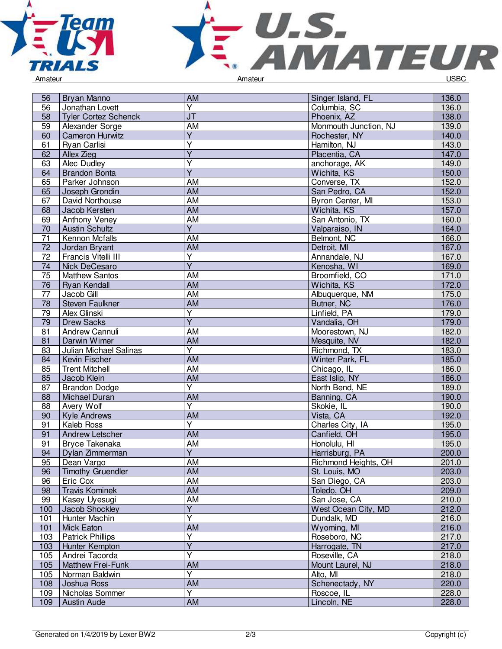



56 Bryan Manno **AM Singer Island, FL 136.0**<br>56 Jonathan Lovett Y Y Columbia, SC 136.0 Jonathan Lovett Y Columbia, SC 136.0<br>JT Phoenix AZ 138.0 58 Tyler Cortez Schenck JT<br>
59 Alexander Sorge Manuel AM Monmouth Junction, NJ 138.0 59 Alexander Sorge **AM** AM Monmouth Junction, NJ 139.0<br>
60 Cameron Hurwitz Y Rochester, NY 140.0 **Cameron Hurwitz** Y Rochester, NY 140.0<br>
Y Hamilton, NJ 143.0 61 Ryan Carlisi Y Hamilton, NJ 143.0<br>The Hamilton, NJ 143.0 62 Allex Zieg<br>63 Alec Dudle Y Placentia, CA 147.0<br>The placentia contract of the placentia contract in the 149.0 **Alec Dudley** Y anchorage, AK 149.0<br>
Wichita, KS 150.0 64 Brandon Bonta<br>65 Parker Johnson Y Wichita, KS 150.0<br>AM Converse, TX 152.0 EXTERN Parker Johnson **AM Converse, TX 152.0**<br>
65 Doseph Grondin **AM Converse, TX 152.0**<br>
65 Doseph Grondin **AM** Converse, CA 152.0 Joseph Grondin 67 | David Northouse | AM Byron Center, MI | 153.0 EXAM AM Wichita, KS 157.0<br>
69 Anthony Veney AM San Antonio, TX 160.0 69 Anthony Veney AM AM San Antonio, TX 160.0 70 Austin Schultz<br>71 Kennon Mcfalls Y Valparaiso, IN 164.0<br>AM Belmont. NC 166.0 The Metalling of the Metalling of the Metalling Metalling of the Metalling of the Metalling of the Metalling of the Metalling of the Metalling of the Metalling of the Metalling of the Metalling of the Metalling of the Meta **7** Jordan Bryant **AM AM Prancis Vitelli III** 72 | Francis Vitelli III Y Annandale, NJ 167.0<br>Y Kenosha, WI 169.0 74 Nick DeCesaro Y Kenosha, WI 169.0<br>AM Broomfield, CO 171.0 The Matthew Santos Matthew Santos Music Communication of AM Broomfield, CO 171.0<br>
The Rivan Kendall Music Communication of AM AM Wichita, KS 172.0 76 Ryan Kendall AM Wichita, KS 172.0 Albuquerque, NM 175.0<br>Butner, NC 176.0 Transformation of the US of the Steven Faulkner and Transformation of the AM Butner, NC 176.0<br>179.0 179.0 Alex Glinski and Transformation of the US of the United, PA 179.0 Alex Glinski Y Linfield, PA<br>
Y Vandalia. C 79 Drew Sacks<br>81 Andrew Can Y Nandalia, OH 179.0<br>AM Moorestown, NJ 182.0 Pandrew Cannuli AM Andrew Cannuli AM Andrew Cannuli AM AM Andrew Cannuli AM AM AND AND AN AN ANGLE AND AN ANGLE AN<br>
AM AM Mesquite, NV 182.0 81 Darwin Wimer **AM**<br>83 Julian Michael Salinas Y 83 Julian Michael Salinas Richmond, TX 183.0 84 Kevin Fischer Michael AM AM Number 2016 Number Park, FL 185.0<br>85 Trent Mitchell AM AM Chicago, IL 186.0 85 Trent Mitchell **AM** Chicago, IL 186.0<br>85 Jacob Klein **AM** Chicago, IL 186.0 85 Jacob Klein AM East Islip, NY 186.0 87 Brandon Dodge<br>88 Michael Duran Y<br>
North Bend, NE 189.0<br>
AM Banning, CA 190.0 Michael Duran Machael AM AM Banning, CA 190.0<br>
Avery Wolf The Contract of Contract of Contract Avery Wolf 190.0 88 Avery Wolf Y Skokie, IL 1900.<br>AM Vista, CA er 192.0<br>
91 Kaleb Ross March 192.0<br>
91 Kaleb Ross Y Charles City, IA 195.0 91 Kaleb Ross<br>91 Andrew Lets Y<br>
Charles City, IA 195.0<br>
Canfield, OH 195.0 **Andrew Letscher** 91 Bryce Takenaka AM Honolulu, HI 195.0 94 Dylan Zimmerman<br>95 Dean Vargo Y Harrisburg, PA 200.000 Harrisburg, PA 200.000 Harrisburg, PA 200.000 Harrisburg, PA 200.000 Harrisburg, PA 200.000 Harrisburg, PA 200.000 Harrisburg, PA 200.000 Harrisburg, PA 200.000 Harrisburg, PA 200.000 Harrisburg, P Prichmond Heights, OH 201.0<br>St. Louis, MO 203.0 96 Timothy Gruendler **AM** AM St. Louis, MO 203.0<br>96 Eric Cox **AM** San Diego, CA 203.0 96 | Eric Cox | AM | AM | San Diego, CA<br>98 | Travis Kominek | AM | AM | Toledo, OH 98 Travis Kominek AM Toledo, OH 209.0 99 Kasey Uyesugi AM San Jose, CA 210.0 100 Jacob Shockley<br>101 Hunter Machin Y Nest Ocean City, MD 212.0<br>
Y Dundalk, MD 216.0 101 Hunter Machin<br>101 Mick Eaton Y Dundalk, MD 216.0<br>AM Wyoming, MI 216.0 101 | Mick Eaton | AM | AM | Wyoming, MI | 216.0 103 **Patrick Phillips** Y Roseboro, NC 217.0<br>
Y Harrogate, TN 217.0 103 Hunter Kempton Y Harrogate, TN<br>
Y Roseville, CA 105 Andrei Tacorda Roseville, CA 218.0 105 Matthew Frei-Funk **AM AM Mount Laurel, NJ 218.0**<br>105 Norman Baldwin Y Y Alto, MI Alto, MI 218.0 105 Norman Baldwin<br>108 Joshua Ross Y Alto, MI 218.0 am Schenectady, NY 220.0 109 | Nicholas Sommer Y Roscoe, IL 228.0<br>AM Lincoln, NE 228.0 109 Austin Aude Am Andreas AM Lincoln, NE 228.0